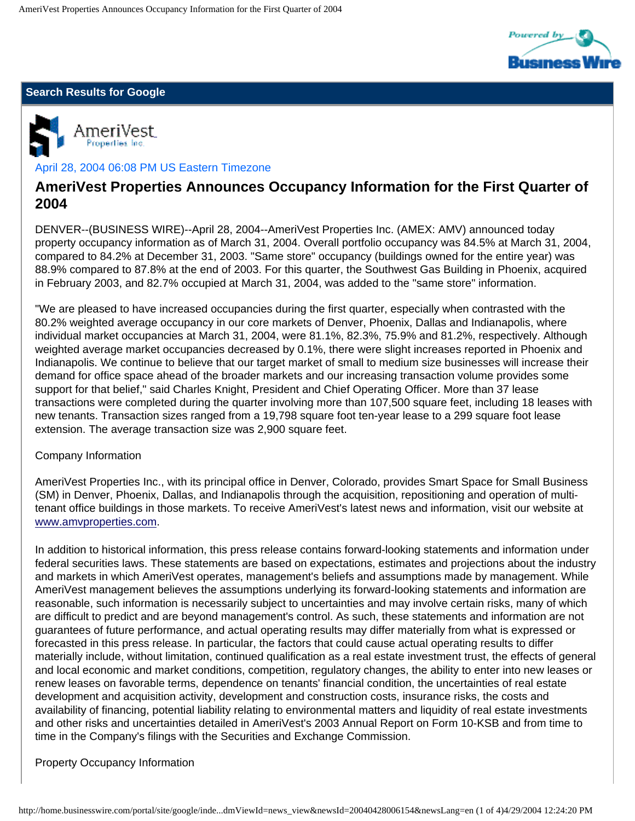

### **Search Results for Google**



## April 28, 2004 06:08 PM US Eastern Timezone

# **AmeriVest Properties Announces Occupancy Information for the First Quarter of 2004**

DENVER--(BUSINESS WIRE)--April 28, 2004--AmeriVest Properties Inc. (AMEX: AMV) announced today property occupancy information as of March 31, 2004. Overall portfolio occupancy was 84.5% at March 31, 2004, compared to 84.2% at December 31, 2003. "Same store" occupancy (buildings owned for the entire year) was 88.9% compared to 87.8% at the end of 2003. For this quarter, the Southwest Gas Building in Phoenix, acquired in February 2003, and 82.7% occupied at March 31, 2004, was added to the "same store" information.

"We are pleased to have increased occupancies during the first quarter, especially when contrasted with the 80.2% weighted average occupancy in our core markets of Denver, Phoenix, Dallas and Indianapolis, where individual market occupancies at March 31, 2004, were 81.1%, 82.3%, 75.9% and 81.2%, respectively. Although weighted average market occupancies decreased by 0.1%, there were slight increases reported in Phoenix and Indianapolis. We continue to believe that our target market of small to medium size businesses will increase their demand for office space ahead of the broader markets and our increasing transaction volume provides some support for that belief," said Charles Knight, President and Chief Operating Officer. More than 37 lease transactions were completed during the quarter involving more than 107,500 square feet, including 18 leases with new tenants. Transaction sizes ranged from a 19,798 square foot ten-year lease to a 299 square foot lease extension. The average transaction size was 2,900 square feet.

#### Company Information

AmeriVest Properties Inc., with its principal office in Denver, Colorado, provides Smart Space for Small Business (SM) in Denver, Phoenix, Dallas, and Indianapolis through the acquisition, repositioning and operation of multitenant office buildings in those markets. To receive AmeriVest's latest news and information, visit our website at [www.amvproperties.com](http://www.amvproperties.com/).

In addition to historical information, this press release contains forward-looking statements and information under federal securities laws. These statements are based on expectations, estimates and projections about the industry and markets in which AmeriVest operates, management's beliefs and assumptions made by management. While AmeriVest management believes the assumptions underlying its forward-looking statements and information are reasonable, such information is necessarily subject to uncertainties and may involve certain risks, many of which are difficult to predict and are beyond management's control. As such, these statements and information are not guarantees of future performance, and actual operating results may differ materially from what is expressed or forecasted in this press release. In particular, the factors that could cause actual operating results to differ materially include, without limitation, continued qualification as a real estate investment trust, the effects of general and local economic and market conditions, competition, regulatory changes, the ability to enter into new leases or renew leases on favorable terms, dependence on tenants' financial condition, the uncertainties of real estate development and acquisition activity, development and construction costs, insurance risks, the costs and availability of financing, potential liability relating to environmental matters and liquidity of real estate investments and other risks and uncertainties detailed in AmeriVest's 2003 Annual Report on Form 10-KSB and from time to time in the Company's filings with the Securities and Exchange Commission.

#### Property Occupancy Information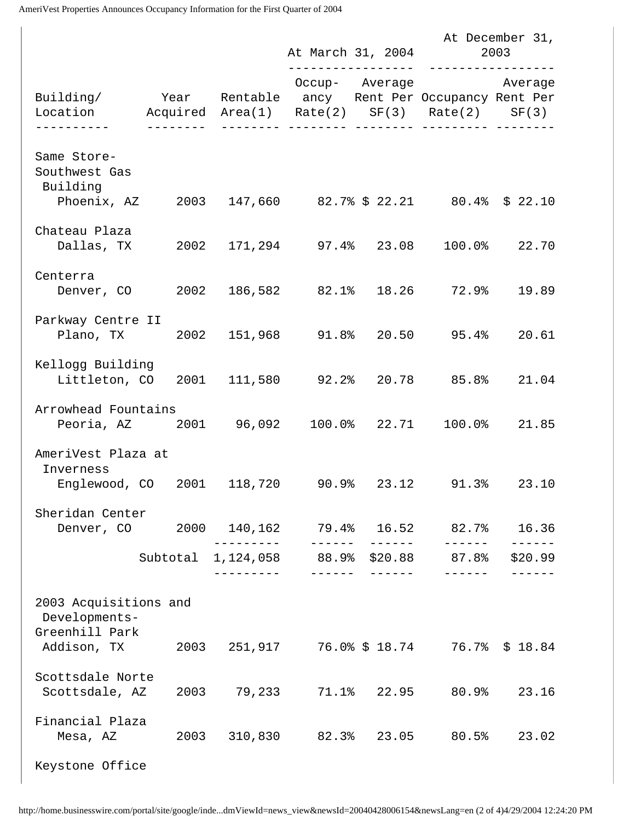AmeriVest Properties Announces Occupancy Information for the First Quarter of 2004

|                                                                                                                     |          |                     |         |               | At December 31,<br>At March 31, 2004 2003 |         |
|---------------------------------------------------------------------------------------------------------------------|----------|---------------------|---------|---------------|-------------------------------------------|---------|
| Building/   Year Rentable ancy Rent Per Occupancy Rent Per<br>Location Mcquired Area(1) Rate(2) SF(3) Rate(2) SF(3) |          |                     |         |               | Occup- Average Merage                     |         |
| Same Store-<br>Southwest Gas<br>Building                                                                            |          |                     |         |               |                                           |         |
| Phoenix, AZ $2003$ 147,660  82.7% \$ 22.21  80.4% \$ 22.10                                                          |          |                     |         |               |                                           |         |
| Chateau Plaza<br>Dallas, TX 2002 171, 294 97.4% 23.08 100.0% 22.70                                                  |          |                     |         |               |                                           |         |
| Centerra<br>Denver, CO 2002 186,582 82.1% 18.26 72.9% 19.89                                                         |          |                     |         |               |                                           |         |
| Parkway Centre II<br>Plano, TX 2002 151,968 91.8% 20.50 95.4% 20.61                                                 |          |                     |         |               |                                           |         |
| Kellogg Building<br>Littleton, CO 2001 111,580 92.2% 20.78 85.8% 21.04                                              |          |                     |         |               |                                           |         |
| Arrowhead Fountains                                                                                                 |          |                     |         |               |                                           |         |
| AmeriVest Plaza at<br>Inverness                                                                                     |          |                     |         |               |                                           |         |
| Englewood, CO 2001 118,720 90.9% 23.12 91.3% 23.10                                                                  |          |                     |         |               |                                           |         |
| Sheridan Center<br>Denver, CO  2000  140, 162  79.4%  16.52  82.7%  16.36                                           |          | __________          | ------- | $\frac{1}{2}$ | $\frac{1}{2}$                             |         |
|                                                                                                                     | Subtotal | - - - - - - - - - - | ------- |               | 1,124,058 88.9% \$20.88 87.8%             | \$20.99 |
| 2003 Acquisitions and<br>Developments-<br>Greenhill Park                                                            |          |                     |         |               |                                           |         |
| Addison, TX  2003  251, 917  76.0% \$ 18.74  76.7% \$ 18.84                                                         |          |                     |         |               |                                           |         |
| Scottsdale Norte<br>Scottsdale, AZ                                                                                  |          |                     |         |               | 2003 79,233 71.1% 22.95 80.9% 23.16       |         |
| Financial Plaza<br>Mesa, AZ                                                                                         |          |                     |         |               | 2003 310,830 82.3% 23.05 80.5% 23.02      |         |
| Keystone Office                                                                                                     |          |                     |         |               |                                           |         |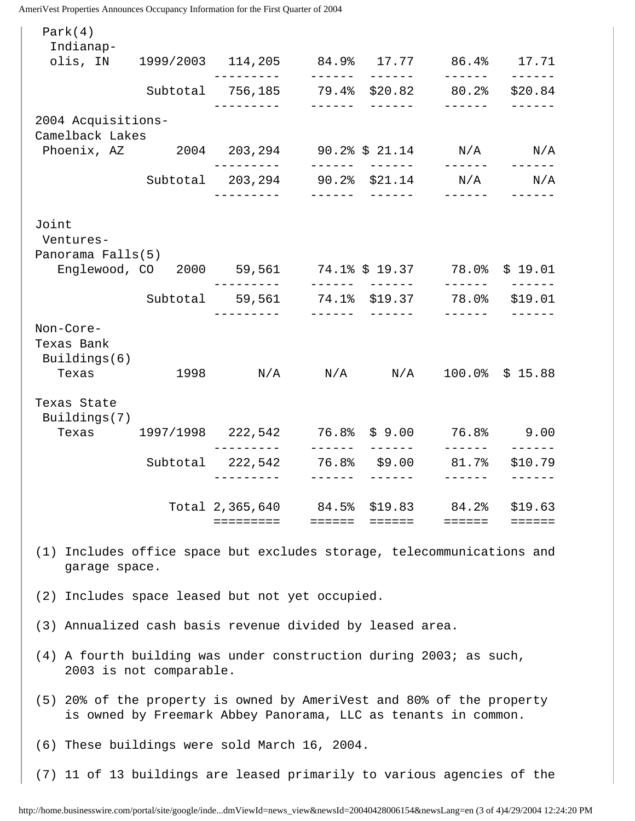AmeriVest Properties Announces Occupancy Information for the First Quarter of 2004

| Park(4)<br>Indianap-                                                                    |                                                                |                                                          |               |                  |                                           |                          |  |  |
|-----------------------------------------------------------------------------------------|----------------------------------------------------------------|----------------------------------------------------------|---------------|------------------|-------------------------------------------|--------------------------|--|--|
| olis, IN 1999/2003 114, 205 84.9% 17.77 86.4% 17.71                                     |                                                                |                                                          | ------        | $- - - - - -$    | $- - - - - - -$                           | ------                   |  |  |
|                                                                                         |                                                                | Subtotal 756,185 79.4% \$20.82 80.2%<br>. _ _ _ _ _ _    | $\frac{1}{2}$ | $\frac{1}{2}$    | $\frac{1}{2}$                             | \$20.84                  |  |  |
| 2004 Acquisitions-<br>Camelback Lakes                                                   |                                                                |                                                          |               |                  |                                           |                          |  |  |
| Phoenix, AZ  2004  203, 294  90.2% \$ 21.14  N/A                                        |                                                                |                                                          |               | _______________  | ------                                    | N/A                      |  |  |
|                                                                                         |                                                                | Subtotal 203,294 90.2% \$21.14 N/A<br>----------         |               | _______  ______  | $\frac{1}{2}$                             | N/A                      |  |  |
| Joint<br>Ventures-<br>Panorama Falls(5)                                                 | Englewood, CO 2000 59,561 74.1% \$ 19.37 78.0% \$ 19.01        | ----------                                               |               |                  |                                           |                          |  |  |
|                                                                                         |                                                                | Subtotal 59,561 74.1% \$19.37 78.0% \$19.01              |               | _______________  |                                           |                          |  |  |
| Non-Core-<br>Texas Bank<br>Buildings(6)<br>Texas                                        |                                                                | 1998 N/A N/A N/A 100.0% \$15.88                          |               | _______ _____    |                                           |                          |  |  |
| Texas State<br>Buildings(7)<br>Texas                                                    | 1997/1998 222,542 76.8% \$9.00 76.8% 9.00                      |                                                          |               |                  |                                           |                          |  |  |
|                                                                                         |                                                                | --------<br>Subtotal 222,542 76.8% \$9.00<br>----------  |               |                  | $\frac{1}{2}$<br>81.7%<br>$- - - - - - -$ | $- - - - - -$<br>\$10.79 |  |  |
|                                                                                         |                                                                | Total 2,365,640 84.5% \$19.83 84.2% \$19.63<br>========= |               | ======    ====== | $=$ $=$ $=$ $=$ $=$                       |                          |  |  |
| (1) Includes office space but excludes storage, telecommunications and<br>garage space. |                                                                |                                                          |               |                  |                                           |                          |  |  |
| (2) Includes space leased but not yet occupied.                                         |                                                                |                                                          |               |                  |                                           |                          |  |  |
| (3) Annualized cash basis revenue divided by leased area.                               |                                                                |                                                          |               |                  |                                           |                          |  |  |
| (4) A fourth building was under construction during 2003; as such,                      | 2003 is not comparable.                                        |                                                          |               |                  |                                           |                          |  |  |
| (5) 20% of the property is owned by AmeriVest and 80% of the property                   | is owned by Freemark Abbey Panorama, LLC as tenants in common. |                                                          |               |                  |                                           |                          |  |  |
| (6) These buildings were sold March 16, 2004.                                           |                                                                |                                                          |               |                  |                                           |                          |  |  |
| (7) 11 of 13 buildings are leased primarily to various agencies of the                  |                                                                |                                                          |               |                  |                                           |                          |  |  |